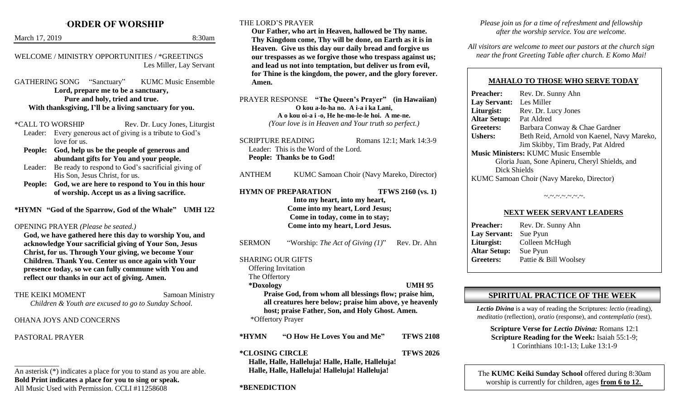# **`ORDER OF WORSHIP** March 17, 2019 8:30am

| WELCOME / MINISTRY OPPORTUNITIES / *GREETINGS |
|-----------------------------------------------|
|                                               |
|                                               |

Les Miller, Lay Servant

GATHERING SONG "Sanctuary" KUMC Music Ensemble **Lord, prepare me to be a sanctuary, Pure and holy, tried and true. With thanksgiving, I'll be a living sanctuary for you.**

\*CALL TO WORSHIP Rev. Dr. Lucy Jones, Liturgist Leader: Every generous act of giving is a tribute to God's

- love for us. **People: God, help us be the people of generous and**
- **abundant gifts for You and your people.**
- Leader: Be ready to respond to God's sacrificial giving of His Son, Jesus Christ, for us.
- **People: God, we are here to respond to You in this hour of worship. Accept us as a living sacrifice.**

**\*HYMN "God of the Sparrow, God of the Whale" UMH 122**

OPENING PRAYER *(Please be seated.)*

**God, we have gathered here this day to worship You, and acknowledge Your sacrificial giving of Your Son, Jesus Christ, for us. Through Your giving, we become Your Children. Thank You. Center us once again with Your presence today, so we can fully commune with You and reflect our thanks in our act of giving. Amen.**

THE KEIKI MOMENT Samoan Ministry

*Children & Youth are excused to go to Sunday School.*

### OHANA JOYS AND CONCERNS

PASTORAL PRAYER

### THE LORD'S PRAYER

**Our Father, who art in Heaven, hallowed be Thy name. Thy Kingdom come, Thy will be done, on Earth as it is in Heaven. Give us this day our daily bread and forgive us our trespasses as we forgive those who trespass against us; and lead us not into temptation, but deliver us from evil, for Thine is the kingdom, the power, and the glory forever. Amen.**

PRAYER RESPONSE **"The Queen's Prayer" (in Hawaiian) O kou a-lo-ha no. A i-a i ka Lani, A o kou oi-a i -o, He he-mo-le-le hoi. A me-ne.** *(Your love is in Heaven and Your truth so perfect.)*

SCRIPTURE READING Romans 12:1: Mark 14:3-9 Leader: This is the Word of the Lord. **People: Thanks be to God!**

ANTHEM KUMC Samoan Choir (Navy Mareko, Director)

**HYMN OF PREPARATION TFWS 2160 (vs. 1) Into my heart, into my heart, Come into my heart, Lord Jesus; Come in today, come in to stay; Come into my heart, Lord Jesus.**

SERMON "Worship: *The Act of Giving (1)*" Rev. Dr. Ahn

## SHARING OUR GIFTS

Offering Invitation The Offertory

### **\*Doxology UMH 95**

**Praise God, from whom all blessings flow; praise him, all creatures here below; praise him above, ye heavenly host; praise Father, Son, and Holy Ghost. Amen.** \*Offertory Prayer

**\*HYMN "O How He Loves You and Me" TFWS 2108**

**\*CLOSING CIRCLE TFWS 2026**

**Halle, Halle, Halleluja! Halle, Halle, Halleluja! Halle, Halle, Halleluja! Halleluja! Halleluja!**

## **\*BENEDICTION**

*Please join us for a time of refreshment and fellowship after the worship service. You are welcome.*

*All visitors are welcome to meet our pastors at the church sign near the front Greeting Table after church. E Komo Mai!*

## **MAHALO TO THOSE WHO SERVE TODAY**

**Preacher:** Rev. Dr. Sunny Ahn **Lay Servant:** Les Miller **Liturgist:** Rev. Dr. Lucy Jones **Altar Setup:** Pat Aldred **Greeters:** Barbara Conway & Chae Gardner Ushers: Beth Reid, Arnold von Kaenel, Navy Mareko, Jim Skibby, Tim Brady, Pat Aldred **Music Ministers:** KUMC Music Ensemble Gloria Juan, Sone Apineru, Cheryl Shields, and Dick Shields KUMC Samoan Choir (Navy Mareko, Director)

#### $\sim$   $\sim$   $\sim$   $\sim$   $\sim$   $\sim$   $\sim$   $\sim$

### **NEXT WEEK SERVANT LEADERS**

**Preacher:** Rev. Dr. Sunny Ahn **Lay Servant:** Sue Pyun **Liturgist:** Colleen McHugh **Altar Setup:** Sue Pyun **Greeters:** Pattie & Bill Woolsey

## **SPIRITUAL PRACTICE OF THE WEEK**

*Lectio Divina* is a way of reading the Scriptures: *lectio* (reading), *meditatio* (reflection), *oratio* (response), and *contemplatio* (rest).

**Scripture Verse for** *Lectio Divina:* Romans 12:1 **Scripture Reading for the Week:** Isaiah 55:1-9; 1 Corinthians 10:1-13; Luke 13:1-9

The **KUMC Keiki Sunday School** offered during 8:30am worship is currently for children, ages **from 6 to 12.**

\_\_\_\_\_\_\_\_\_\_\_\_ An asterisk (\*) indicates a place for you to stand as you are able. **Bold Print indicates a place for you to sing or speak.** All Music Used with Permission. CCLI #11258608